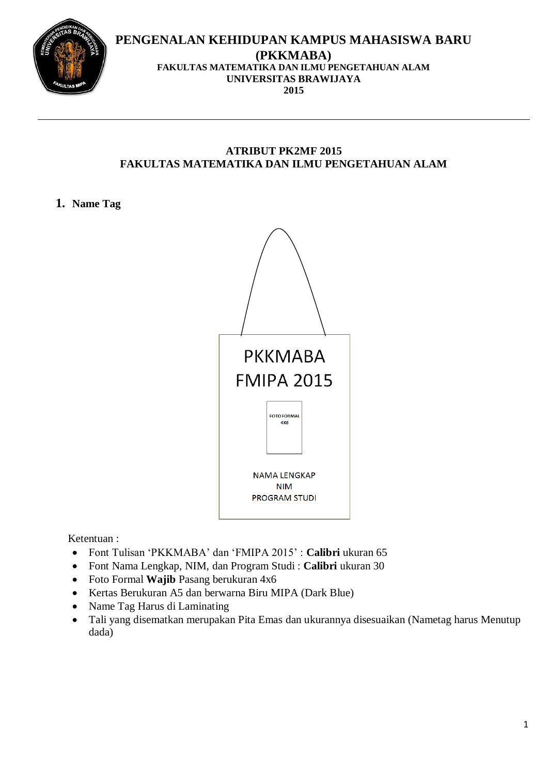

# **PENGENALAN KEHIDUPAN KAMPUS MAHASISWA BARU (PKKMABA) FAKULTAS MATEMATIKA DAN ILMU PENGETAHUAN ALAM UNIVERSITAS BRAWIJAYA 2015**

## **ATRIBUT PK2MF 2015 FAKULTAS MATEMATIKA DAN ILMU PENGETAHUAN ALAM**

**1. Name Tag**



Ketentuan :

- Font Tulisan 'PKKMABA' dan 'FMIPA 2015' : **Calibri** ukuran 65
- Font Nama Lengkap, NIM, dan Program Studi : **Calibri** ukuran 30
- Foto Formal **Wajib** Pasang berukuran 4x6
- Kertas Berukuran A5 dan berwarna Biru MIPA (Dark Blue)
- Name Tag Harus di Laminating
- Tali yang disematkan merupakan Pita Emas dan ukurannya disesuaikan (Nametag harus Menutup dada)